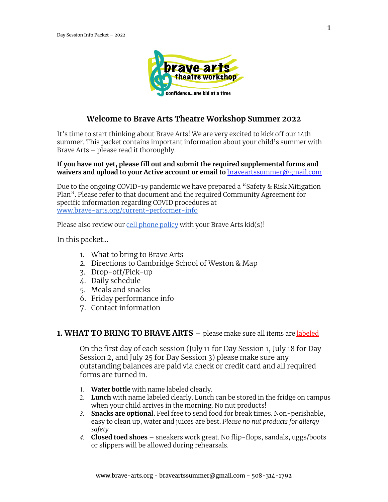

# **Welcome to Brave Arts Theatre Workshop Summer 2022**

It's time to start thinking about Brave Arts! We are very excited to kick off our 14th summer. This packet contains important information about your child's summer with Brave Arts – please read it thoroughly.

### **If you have not yet, please fill out and submit the required supplemental forms and waivers and upload to your Active account or email to** [braveartssummer@gmail.com](mailto:braveartssummer@gmail.com)

Due to the ongoing COVID-19 pandemic we have prepared a "Safety & Risk Mitigation Plan". Please refer to that document and the required Community Agreement for specific information regarding COVID procedures at [www.brave-arts.org/current-performer-info](http://www.brave-arts.org/current-performer-info)

Please also review our cell [phone](https://12c9eecf-c4fa-ffac-8787-ca27182545b8.filesusr.com/ugd/564884_c2e9cd47fa664105bb456fc4dc60de15.pdf) policy with your Brave Arts kid(s)!

In this packet...

- 1. What to bring to Brave Arts
- 2. Directions to Cambridge School of Weston & Map
- 3. Drop-off/Pick-up
- 4. Daily schedule
- 5. Meals and snacks
- 6. Friday performance info
- 7. Contact information

### **1. WHAT TO BRING TO BRAVE ARTS** – please make sure all items are labeled

On the first day of each session (July 11 for Day Session 1, July 18 for Day Session 2, and July 25 for Day Session 3) please make sure any outstanding balances are paid via check or credit card and all required forms are turned in.

- 1. **Water bottle** with name labeled clearly.
- 2. **Lunch** with name labeled clearly. Lunch can be stored in the fridge on campus when your child arrives in the morning. No nut products!
- *3.* **Snacks are optional.** Feel free to send food for break times. Non-perishable, easy to clean up, water and juices are best. *Please no nut products for allergy safety.*
- *4.* **Closed toed shoes** sneakers work great. No flip-flops, sandals, uggs/boots or slippers will be allowed during rehearsals.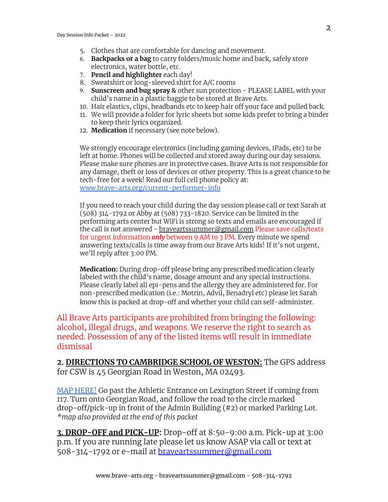- 5. Clothes that are comfortable for dancing and movement.
- 6. **Backpacks or a bag** to carry folders/music home and back, safely store electronics, water bottle, etc.
- 7. **Pencil and highlighter** each day!
- 8. Sweatshirt or long-sleeved shirt for A/C rooms
- 9. **Sunscreen and bug spray** & other sun protection PLEASE LABEL with your child's name in a plastic baggie to be stored at Brave Arts.
- 10. Hair elastics, clips, headbands etc to keep hair off your face and pulled back.
- 11. We will provide a folder for lyric sheets but some kids prefer to bring a binder to keep their lyrics organized.
- 12. **Medication** if necessary (see note below).

We strongly encourage electronics (including gaming devices, iPads, etc) to be left at home. Phones will be collected and stored away during our day sessions. Please make sure phones are in protective cases. Brave Arts is not responsible for any damage, theft or loss of devices or other property. This is a great chance to be tech-free for a week! Read our full cell phone policy at: [www.brave-arts.org/current-performer-info](http://www.brave-arts.org/current-performer-info)

If you need to reach your child during the day session please call or text Sarah at (508) 314-1792 or Abby at (508) 733-1820. Service can be limited in the performing arts center but WiFi is strong so texts and emails are encouraged if the call is not answered - [braveartssummer@gmail.com](mailto:braveartssummer@gmail.com) Please save calls/texts for urgent information *only* between 9 AM to 3 PM. Every minute we spend answering texts/calls is time away from our Brave Arts kids! If it's not urgent, we'll reply after 3:00 PM.

**Medication:** During drop-off please bring any prescribed medication clearly labeled with the child's name, dosage amount and any special instructions. Please clearly label all epi-pens and the allergy they are administered for. For non-prescribed medication (i.e.: Motrin, Advil, Benadryl etc) please let Sarah know this is packed at drop-off and whether your child can self-administer.

All Brave Arts participants are prohibited from bringing the following: alcohol, illegal drugs, and weapons. We reserve the right to search as needed. Possession of any of the listed items will result in immediate dismissal

**2. DIRECTIONS TO CAMBRIDGE SCHOOL OF WESTON:** The GPS address for CSW is 45 Georgian Road in Weston, MA 02493.

MAP [HERE!](https://12c9eecf-c4fa-ffac-8787-ca27182545b8.filesusr.com/ugd/564884_5c61d93cfa294897bb28de8f342ab473.pdf) Go past the Athletic Entrance on Lexington Street if coming from 117. Turn onto Georgian Road, and follow the road to the circle marked drop-off/pick-up in front of the Admin Building (#2) or marked Parking Lot. *\*map also provided at the end of this packet*

**3. DROP-OFF and PICK-UP:** Drop-off at 8:50-9:00 a.m. Pick-up at 3:00 p.m. If you are running late please let us know ASAP via call or text at 508-314-1792 or e-mail at [braveartssummer@gmail.com](mailto:braveartssummer@gmail.com)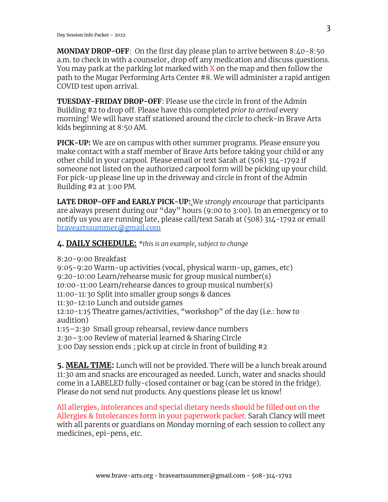**MONDAY DROP-OFF**: On the first day please plan to arrive between 8:40-8:50 a.m. to check in with a counselor, drop off any medication and discuss questions. You may park at the parking lot marked with  $X$  on the map and then follow the path to the Mugar Performing Arts Center #8. We will administer a rapid antigen COVID test upon arrival.

**TUESDAY-FRIDAY DROP-OFF**: Please use the circle in front of the Admin Building #2 to drop off. Please have this completed *prior to arrival* every morning! We will have staff stationed around the circle to check-in Brave Arts kids beginning at 8:50 AM.

**PICK-UP:** We are on campus with other summer programs. Please ensure you make contact with a staff member of Brave Arts before taking your child or any other child in your carpool. Please email or text Sarah at (508) 314-1792 if someone not listed on the authorized carpool form will be picking up your child. For pick-up please line up in the driveway and circle in front of the Admin Building #2 at 3:00 PM.

**LATE DROP-OFF and EARLY PICK-UP:** We *strongly encourage* that participants are always present during our "day" hours (9:00 to 3:00). In an emergency or to notify us you are running late, please call/text Sarah at (508) 314-1792 or email [braveartssummer@gmail.com](mailto:braveartssummer@gmail.com)

# **4. DAILY SCHEDULE:** *\*this is an example, subject to change*

8:20-9:00 Breakfast

9:05-9:20 Warm-up activities (vocal, physical warm-up, games, etc) 9:20-10:00 Learn/rehearse music for group musical number(s) 10:00-11:00 Learn/rehearse dances to group musical number(s) 11:00-11:30 Split into smaller group songs & dances 11:30-12:10 Lunch and outside games 12:10-1:15 Theatre games/activities, "workshop" of the day (i.e.: how to audition) 1:15–2:30 Small group rehearsal, review dance numbers 2:30–3:00 Review of material learned & Sharing Circle 3:00 Day session ends ; pick up at circle in front of building #2

**5. MEAL TIME:** Lunch will not be provided. There will be a lunch break around 11:30 am and snacks are encouraged as needed. Lunch, water and snacks should come in a LABELED fully-closed container or bag (can be stored in the fridge). Please do not send nut products. Any questions please let us know!

All allergies, intolerances and special dietary needs should be filled out on the Allergies & Intolerances form in your paperwork packet. Sarah Clancy will meet with all parents or guardians on Monday morning of each session to collect any medicines, epi-pens, etc.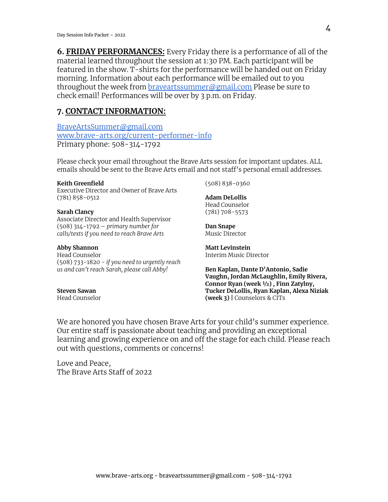**6. FRIDAY PERFORMANCES:** Every Friday there is a performance of all of the material learned throughout the session at 1:30 PM. Each participant will be featured in the show. T-shirts for the performance will be handed out on Friday morning. Information about each performance will be emailed out to you throughout the week from brayeartssummer@gmail.com Please be sure to check email! Performances will be over by 3 p.m. on Friday.

## **7. CONTACT INFORMATION:**

[BraveArtsSummer@gmail.com](mailto:BraveArtsSummer@gmail.com) [www.brave-arts.org/current-performer-info](http://www.brave-arts.org/current-performer-info) Primary phone: 508-314-1792

Please check your email throughout the Brave Arts session for important updates. ALL emails should be sent to the Brave Arts email and not staff's personal email addresses.

#### **Keith Greenfield**

Executive Director and Owner of Brave Arts (781) 858-0512

#### **Sarah Clancy**

Associate Director and Health Supervisor (508) 314-1792 – *primary number for calls/texts if you need to reach Brave Arts*

### **Abby Shannon**

Head Counselor (508) 733-1820 - *if you need to urgently reach us and can't reach Sarah, please call Abby!*

**Steven Sawan** Head Counselor (508) 838-0360

**Adam DeLollis** Head Counselor (781) 708-5573

**Dan Snape** Music Director

**Matt Levinstein** Interim Music Director

**Ben Kaplan, Dante D'Antonio, Sadie Vaughn, Jordan McLaughlin, Emily Rivera, Connor Ryan (week ½) , Finn Zatylny, Tucker DeLollis, Ryan Kaplan, Alexa Niziak (week 3) |** Counselors & CITs

We are honored you have chosen Brave Arts for your child's summer experience. Our entire staff is passionate about teaching and providing an exceptional learning and growing experience on and off the stage for each child. Please reach out with questions, comments or concerns!

Love and Peace, The Brave Arts Staff of 2022